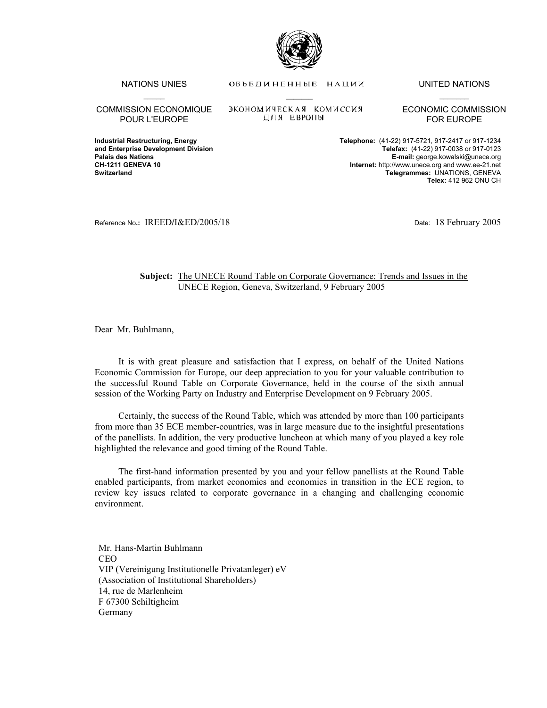

NATIONS UNIES OF DE DITTER HALL TO HALL ON THE UNITED NATIONS

\_\_\_\_\_ \_\_\_\_\_\_\_ \_\_\_\_\_\_\_

COMMISSION ECONOMIQUE POUR L'EUROPE

ЭКОНОМИЧЕСКАЯ КОМИССИЯ ДЛЯ ЕВРОПЫ

ECONOMIC COMMISSION FOR EUROPE

**Industrial Restructuring, Energy Telephone:** (41-22) 917-5721, 917-2417 or 917-1234 **and Enterprise Development Division and Enterprise Development Division Communisty Communisty Communisty Commun<br>Palais des Nations Communisty Communisty Communisty Communisty Communisty Communisty Communisty Communisty Co Palais des Nations E-mail:** george.kowalski@unece.org **CH-1211 GENEVA 10 Internet:** http://www.unece.org and www.ee-21.net **Switzerland Telegrammes:** UNATIONS, GENEVA **Telex:** 412 962 ONU CH

Reference No**.:** IREED**/**I&ED/2005/18 Date: 18 February 2005

## **Subject:** The UNECE Round Table on Corporate Governance: Trends and Issues in the UNECE Region, Geneva, Switzerland, 9 February 2005

Dear Mr. Buhlmann,

 It is with great pleasure and satisfaction that I express, on behalf of the United Nations Economic Commission for Europe, our deep appreciation to you for your valuable contribution to the successful Round Table on Corporate Governance, held in the course of the sixth annual session of the Working Party on Industry and Enterprise Development on 9 February 2005.

 Certainly, the success of the Round Table, which was attended by more than 100 participants from more than 35 ECE member-countries, was in large measure due to the insightful presentations of the panellists. In addition, the very productive luncheon at which many of you played a key role highlighted the relevance and good timing of the Round Table.

 The first-hand information presented by you and your fellow panellists at the Round Table enabled participants, from market economies and economies in transition in the ECE region, to review key issues related to corporate governance in a changing and challenging economic environment.

Mr. Hans-Martin Buhlmann **CEO** VIP (Vereinigung Institutionelle Privatanleger) eV (Association of Institutional Shareholders) 14, rue de Marlenheim F 67300 Schiltigheim Germany